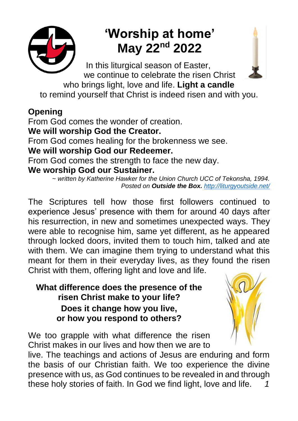

# **'Worship at home' May 22nd 2022**

 In this liturgical season of Easter, we continue to celebrate the risen Christ who brings light, love and life. **Light a candle** to remind yourself that Christ is indeed risen and with you.

## **Opening**

From God comes the wonder of creation.

**We will worship God the Creator.**

From God comes healing for the brokenness we see.

**We will worship God our Redeemer.**

From God comes the strength to face the new day.

## **We worship God our Sustainer.**

*~ written by Katherine Hawker for the Union Church UCC of Tekonsha, 1994. Posted on Outside the Box. <http://liturgyoutside.net/>*

The Scriptures tell how those first followers continued to experience Jesus' presence with them for around 40 days after his resurrection, in new and sometimes unexpected ways. They were able to recognise him, same yet different, as he appeared through locked doors, invited them to touch him, talked and ate with them. We can imagine them trying to understand what this meant for them in their everyday lives, as they found the risen Christ with them, offering light and love and life.

### **What difference does the presence of the risen Christ make to your life? Does it change how you live, or how you respond to others?**

We too grapple with what difference the risen Christ makes in our lives and how then we are to

live. The teachings and actions of Jesus are enduring and form the basis of our Christian faith. We too experience the divine presence with us, as God continues to be revealed in and through these holy stories of faith. In God we find light, love and life. *1*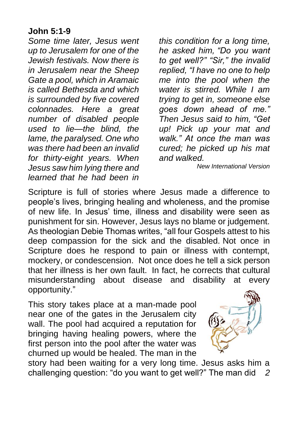#### **John 5:1-9**

*Some time later, Jesus went up to Jerusalem for one of the Jewish festivals. Now there is in Jerusalem near the Sheep Gate a pool, which in Aramaic is called Bethesda and which is surrounded by five covered colonnades. Here a great number of disabled people used to lie—the blind, the lame, the paralysed. One who was there had been an invalid for thirty-eight years. When Jesus saw him lying there and learned that he had been in* 

*this condition for a long time, he asked him, "Do you want to get well?" "Sir," the invalid replied, "I have no one to help me into the pool when the water is stirred. While I am trying to get in, someone else goes down ahead of me." Then Jesus said to him, "Get up! Pick up your mat and walk." At once the man was cured; he picked up his mat and walked.* 

*New International Version*

Scripture is full of stories where Jesus made a difference to people's lives, bringing healing and wholeness, and the promise of new life. In Jesus' time, illness and disability were seen as punishment for sin. However, Jesus lays no blame or judgement. As theologian Debie Thomas writes, "all four Gospels attest to his deep compassion for the sick and the disabled. Not once in Scripture does he respond to pain or illness with contempt, mockery, or condescension. Not once does he tell a sick person that her illness is her own fault. In fact, he corrects that cultural misunderstanding about disease and disability at every opportunity."

This story takes place at a man-made pool near one of the gates in the Jerusalem city wall. The pool had acquired a reputation for bringing having healing powers, where the first person into the pool after the water was churned up would be healed. The man in the



story had been waiting for a very long time. Jesus asks him a challenging question: "do you want to get well?" The man did *2*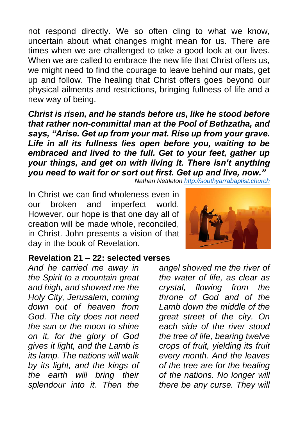not respond directly. We so often cling to what we know, uncertain about what changes might mean for us. There are times when we are challenged to take a good look at our lives. When we are called to embrace the new life that Christ offers us. we might need to find the courage to leave behind our mats, get up and follow. The healing that Christ offers goes beyond our physical ailments and restrictions, bringing fullness of life and a new way of being.

*Christ is risen, and he stands before us, like he stood before that rather non-committal man at the Pool of Bethzatha, and says, "Arise. Get up from your mat. Rise up from your grave. Life in all its fullness lies open before you, waiting to be embraced and lived to the full. Get to your feet, gather up your things, and get on with living it. There isn't anything you need to wait for or sort out first. Get up and live, now."*

*Nathan Nettleton [http://southyarrabaptist.church](http://southyarrabaptist.church/)*

In Christ we can find wholeness even in our broken and imperfect world. However, our hope is that one day all of creation will be made whole, reconciled, in Christ. John presents a vision of that day in the book of Revelation.

#### **Revelation 21 – 22: selected verses**

*And he carried me away in the Spirit to a mountain great and high, and showed me the Holy City, Jerusalem, coming down out of heaven from God. The city does not need the sun or the moon to shine on it, for the glory of God gives it light, and the Lamb is its lamp. The nations will walk by its light, and the kings of the earth will bring their splendour into it. Then the* 



*angel showed me the river of the water of life, as clear as crystal, flowing from the throne of God and of the Lamb down the middle of the great street of the city. On each side of the river stood the tree of life, bearing twelve crops of fruit, yielding its fruit every month. And the leaves of the tree are for the healing of the nations. No longer will there be any curse. They will*